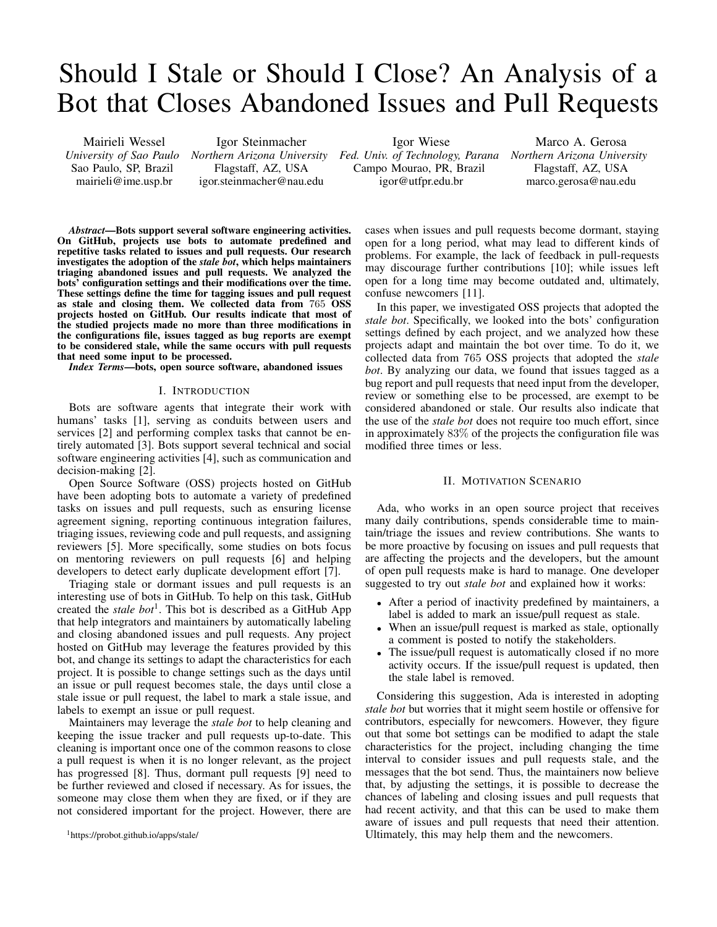# Should I Stale or Should I Close? An Analysis of a Bot that Closes Abandoned Issues and Pull Requests

Mairieli Wessel *University of Sao Paulo* Sao Paulo, SP, Brazil mairieli@ime.usp.br

Igor Steinmacher Flagstaff, AZ, USA igor.steinmacher@nau.edu Igor Wiese

*Northern Arizona University Fed. Univ. of Technology, Parana Northern Arizona University* Campo Mourao, PR, Brazil igor@utfpr.edu.br

Marco A. Gerosa Flagstaff, AZ, USA marco.gerosa@nau.edu

*Abstract*—Bots support several software engineering activities. On GitHub, projects use bots to automate predefined and repetitive tasks related to issues and pull requests. Our research investigates the adoption of the *stale bot*, which helps maintainers triaging abandoned issues and pull requests. We analyzed the bots' configuration settings and their modifications over the time. These settings define the time for tagging issues and pull request as stale and closing them. We collected data from 765 OSS projects hosted on GitHub. Our results indicate that most of the studied projects made no more than three modifications in the configurations file, issues tagged as bug reports are exempt to be considered stale, while the same occurs with pull requests that need some input to be processed.

*Index Terms*—bots, open source software, abandoned issues

### I. INTRODUCTION

Bots are software agents that integrate their work with humans' tasks [1], serving as conduits between users and services [2] and performing complex tasks that cannot be entirely automated [3]. Bots support several technical and social software engineering activities [4], such as communication and decision-making [2].

Open Source Software (OSS) projects hosted on GitHub have been adopting bots to automate a variety of predefined tasks on issues and pull requests, such as ensuring license agreement signing, reporting continuous integration failures, triaging issues, reviewing code and pull requests, and assigning reviewers [5]. More specifically, some studies on bots focus on mentoring reviewers on pull requests [6] and helping developers to detect early duplicate development effort [7].

Triaging stale or dormant issues and pull requests is an interesting use of bots in GitHub. To help on this task, GitHub created the *stale bot*<sup>1</sup>. This bot is described as a GitHub App that help integrators and maintainers by automatically labeling and closing abandoned issues and pull requests. Any project hosted on GitHub may leverage the features provided by this bot, and change its settings to adapt the characteristics for each project. It is possible to change settings such as the days until an issue or pull request becomes stale, the days until close a stale issue or pull request, the label to mark a stale issue, and labels to exempt an issue or pull request.

Maintainers may leverage the *stale bot* to help cleaning and keeping the issue tracker and pull requests up-to-date. This cleaning is important once one of the common reasons to close a pull request is when it is no longer relevant, as the project has progressed [8]. Thus, dormant pull requests [9] need to be further reviewed and closed if necessary. As for issues, the someone may close them when they are fixed, or if they are not considered important for the project. However, there are

<sup>1</sup>https://probot.github.io/apps/stale/

cases when issues and pull requests become dormant, staying open for a long period, what may lead to different kinds of problems. For example, the lack of feedback in pull-requests may discourage further contributions [10]; while issues left open for a long time may become outdated and, ultimately, confuse newcomers [11].

In this paper, we investigated OSS projects that adopted the *stale bot*. Specifically, we looked into the bots' configuration settings defined by each project, and we analyzed how these projects adapt and maintain the bot over time. To do it, we collected data from 765 OSS projects that adopted the *stale bot*. By analyzing our data, we found that issues tagged as a bug report and pull requests that need input from the developer, review or something else to be processed, are exempt to be considered abandoned or stale. Our results also indicate that the use of the *stale bot* does not require too much effort, since in approximately 83% of the projects the configuration file was modified three times or less.

#### II. MOTIVATION SCENARIO

Ada, who works in an open source project that receives many daily contributions, spends considerable time to maintain/triage the issues and review contributions. She wants to be more proactive by focusing on issues and pull requests that are affecting the projects and the developers, but the amount of open pull requests make is hard to manage. One developer suggested to try out *stale bot* and explained how it works:

- After a period of inactivity predefined by maintainers, a label is added to mark an issue/pull request as stale.
- When an issue/pull request is marked as stale, optionally a comment is posted to notify the stakeholders.
- The issue/pull request is automatically closed if no more activity occurs. If the issue/pull request is updated, then the stale label is removed.

Considering this suggestion, Ada is interested in adopting *stale bot* but worries that it might seem hostile or offensive for contributors, especially for newcomers. However, they figure out that some bot settings can be modified to adapt the stale characteristics for the project, including changing the time interval to consider issues and pull requests stale, and the messages that the bot send. Thus, the maintainers now believe that, by adjusting the settings, it is possible to decrease the chances of labeling and closing issues and pull requests that had recent activity, and that this can be used to make them aware of issues and pull requests that need their attention. Ultimately, this may help them and the newcomers.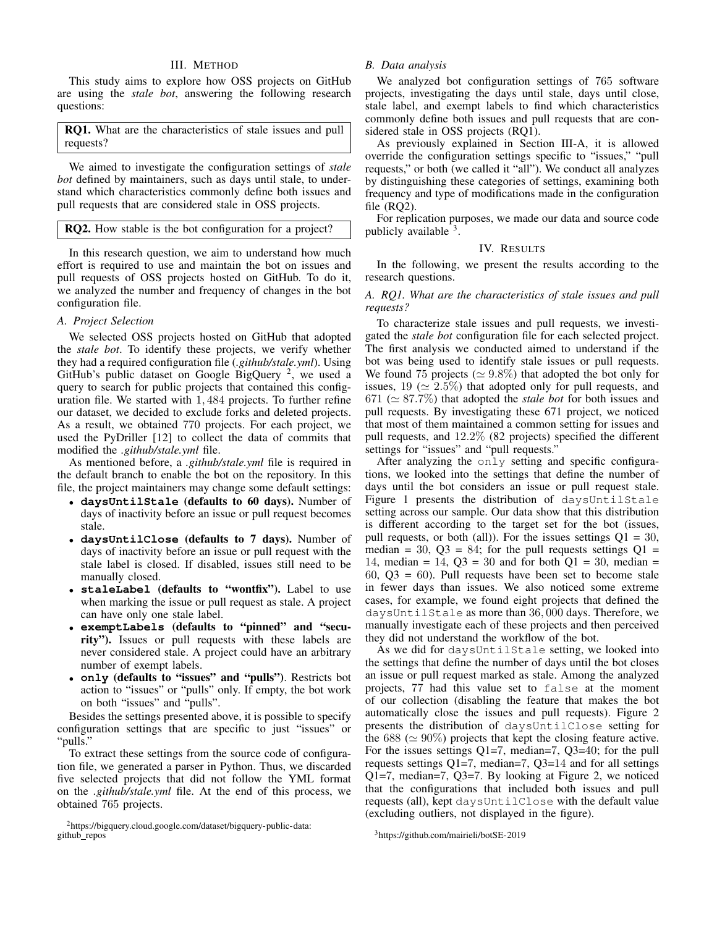# III. METHOD

This study aims to explore how OSS projects on GitHub are using the *stale bot*, answering the following research questions:

RQ1. What are the characteristics of stale issues and pull requests?

We aimed to investigate the configuration settings of *stale bot* defined by maintainers, such as days until stale, to understand which characteristics commonly define both issues and pull requests that are considered stale in OSS projects.

| <b>RQ2.</b> How stable is the bot configuration for a project? |
|----------------------------------------------------------------|
|----------------------------------------------------------------|

In this research question, we aim to understand how much effort is required to use and maintain the bot on issues and pull requests of OSS projects hosted on GitHub. To do it, we analyzed the number and frequency of changes in the bot configuration file.

## *A. Project Selection*

We selected OSS projects hosted on GitHub that adopted the *stale bot*. To identify these projects, we verify whether they had a required configuration file (*.github/stale.yml*). Using GitHub's public dataset on Google BigQuery  $2$ , we used a query to search for public projects that contained this configuration file. We started with 1, 484 projects. To further refine our dataset, we decided to exclude forks and deleted projects. As a result, we obtained 770 projects. For each project, we used the PyDriller [12] to collect the data of commits that modified the *.github/stale.yml* file.

As mentioned before, a *.github/stale.yml* file is required in the default branch to enable the bot on the repository. In this file, the project maintainers may change some default settings:

- **daysUntilStale** (defaults to 60 days). Number of days of inactivity before an issue or pull request becomes stale.
- **daysUntilClose** (defaults to 7 days). Number of days of inactivity before an issue or pull request with the stale label is closed. If disabled, issues still need to be manually closed.
- **staleLabel** (defaults to "wontfix"). Label to use when marking the issue or pull request as stale. A project can have only one stale label.
- **exemptLabels** (defaults to "pinned" and "security"). Issues or pull requests with these labels are never considered stale. A project could have an arbitrary number of exempt labels.
- **only** (defaults to "issues" and "pulls"). Restricts bot action to "issues" or "pulls" only. If empty, the bot work on both "issues" and "pulls".

Besides the settings presented above, it is possible to specify configuration settings that are specific to just "issues" or "pulls."

To extract these settings from the source code of configuration file, we generated a parser in Python. Thus, we discarded five selected projects that did not follow the YML format on the *.github/stale.yml* file. At the end of this process, we obtained 765 projects.

<sup>2</sup>https://bigquery.cloud.google.com/dataset/bigquery-public-data: github\_repos

# *B. Data analysis*

We analyzed bot configuration settings of 765 software projects, investigating the days until stale, days until close, stale label, and exempt labels to find which characteristics commonly define both issues and pull requests that are considered stale in OSS projects (RQ1).

As previously explained in Section III-A, it is allowed override the configuration settings specific to "issues," "pull requests," or both (we called it "all"). We conduct all analyzes by distinguishing these categories of settings, examining both frequency and type of modifications made in the configuration file (RQ2).

For replication purposes, we made our data and source code publicly available 3.

# IV. RESULTS

In the following, we present the results according to the research questions.

# *A. RQ1. What are the characteristics of stale issues and pull requests?*

To characterize stale issues and pull requests, we investigated the *stale bot* configuration file for each selected project. The first analysis we conducted aimed to understand if the bot was being used to identify stale issues or pull requests. We found 75 projects ( $\simeq 9.8\%$ ) that adopted the bot only for issues, 19 ( $\simeq 2.5\%$ ) that adopted only for pull requests, and  $671 \approx 87.7\%$ ) that adopted the *stale bot* for both issues and pull requests. By investigating these 671 project, we noticed that most of them maintained a common setting for issues and pull requests, and 12.2% (82 projects) specified the different settings for "issues" and "pull requests."

After analyzing the only setting and specific configurations, we looked into the settings that define the number of days until the bot considers an issue or pull request stale. Figure 1 presents the distribution of daysUntilStale setting across our sample. Our data show that this distribution is different according to the target set for the bot (issues, pull requests, or both (all)). For the issues settings  $Q1 = 30$ , median = 30,  $\Omega$ 3 = 84; for the pull requests settings  $\Omega$ 1 = 14, median = 14,  $\text{O}3 = 30$  and for both  $\text{O}1 = 30$ , median =  $60, Q3 = 60$ . Pull requests have been set to become stale in fewer days than issues. We also noticed some extreme cases, for example, we found eight projects that defined the daysUntilStale as more than 36, 000 days. Therefore, we manually investigate each of these projects and then perceived they did not understand the workflow of the bot.

As we did for daysUntilStale setting, we looked into the settings that define the number of days until the bot closes an issue or pull request marked as stale. Among the analyzed projects, 77 had this value set to false at the moment of our collection (disabling the feature that makes the bot automatically close the issues and pull requests). Figure 2 presents the distribution of daysUntilClose setting for the 688 ( $\simeq$  90%) projects that kept the closing feature active. For the issues settings Q1=7, median=7, Q3=40; for the pull requests settings Q1=7, median=7, Q3=14 and for all settings Q1=7, median=7, Q3=7. By looking at Figure 2, we noticed that the configurations that included both issues and pull requests (all), kept daysUntilClose with the default value (excluding outliers, not displayed in the figure).

<sup>3</sup>https://github.com/mairieli/botSE-2019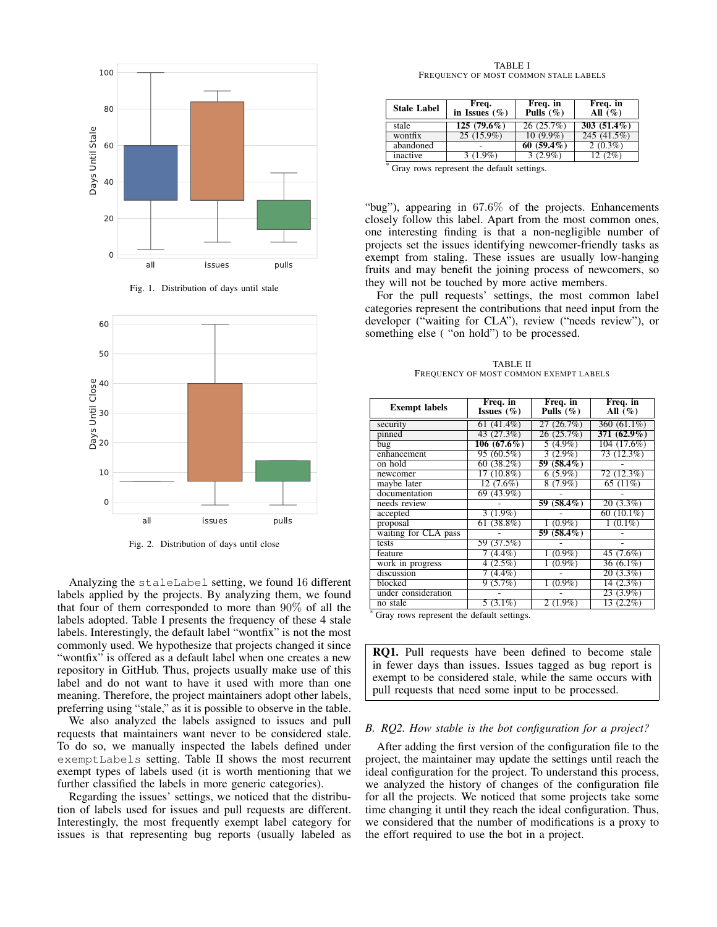





Fig. 2. Distribution of days until close

Analyzing the staleLabel setting, we found 16 different labels applied by the projects. By analyzing them, we found that four of them corresponded to more than 90% of all the labels adopted. Table I presents the frequency of these 4 stale labels. Interestingly, the default label "wontfix" is not the most commonly used. We hypothesize that projects changed it since "wontfix" is offered as a default label when one creates a new repository in GitHub. Thus, projects usually make use of this label and do not want to have it used with more than one meaning. Therefore, the project maintainers adopt other labels, preferring using "stale," as it is possible to observe in the table.

We also analyzed the labels assigned to issues and pull requests that maintainers want never to be considered stale. To do so, we manually inspected the labels defined under exemptLabels setting. Table II shows the most recurrent exempt types of labels used (it is worth mentioning that we further classified the labels in more generic categories).

Regarding the issues' settings, we noticed that the distribution of labels used for issues and pull requests are different. Interestingly, the most frequently exempt label category for issues is that representing bug reports (usually labeled as

TABLE I FREQUENCY OF MOST COMMON STALE LABELS

| <b>Stale Label</b> | Freq.<br>in Issues $(\%)$ | Freq. in<br>Pulls $(\%)$ | Freq. in<br>All $($ \%) |
|--------------------|---------------------------|--------------------------|-------------------------|
| stale              | $125(79.6\%)$             | 26(25.7%)                | $303(51.4\%)$           |
| wontfix            | $25(15.9\%)$              | $10(9.9\%)$              | 245 (41.5%)             |
| abandoned          |                           | $60(59.4\%)$             | $2(0.3\%)$              |
| inactive           | 3 (1.9%)                  | $3(2.9\%)$               | 12(2%)                  |

<sup>\*</sup> Gray rows represent the default settings.

"bug"), appearing in 67.6% of the projects. Enhancements closely follow this label. Apart from the most common ones, one interesting finding is that a non-negligible number of projects set the issues identifying newcomer-friendly tasks as exempt from staling. These issues are usually low-hanging fruits and may benefit the joining process of newcomers, so they will not be touched by more active members.

For the pull requests' settings, the most common label categories represent the contributions that need input from the developer ("waiting for CLA"), review ("needs review"), or something else ( "on hold") to be processed.

TABLE II FREQUENCY OF MOST COMMON EXEMPT LABELS

| <b>Exempt labels</b> | Freq. in<br>Issues $(\%)$ | Freq. in<br>Pulls $(\%)$ | Freq. in<br>All $(\%)$ |
|----------------------|---------------------------|--------------------------|------------------------|
| security             | 61 (41.4%)                | 27 (26.7%)               | 360 (61.1%)            |
| pinned               | 43 (27.3%)                | 26(25.7%)                | $371(62.9\%)$          |
| bug                  | $106(67.6\%)$             | $5(4.9\%)$               | 104 (17.6%)            |
| enhancement          | 95 (60.5%)                | $3(2.9\%)$               | 73(12.3%)              |
| on hold              | 60(38.2%)                 | $59(58.4\%)$             |                        |
| newcomer             | $17(10.8\%)$              | $6(5.9\%)$               | 72 (12.3%)             |
| maybe later          | 12 (7.6%)                 | $8(7.9\%)$               | 65 $(11%)$             |
| documentation        | 69 (43.9%)                |                          |                        |
| needs review         |                           | 59 (58.4%)               | $20(3.3\%)$            |
| accepted             | $3(1.9\%)$                |                          | 60 $(10.1\%)$          |
| proposal             | $61(38.8\%)$              | $(0.9\%)$                | $1(0.1\%)$             |
| waiting for CLA pass |                           | 59 (58.4%)               |                        |
| tests                | 59 (37.5%)                |                          |                        |
| feature              | $(4.4\%)$                 | $(0.9\%)$                | 45 (7.6%)              |
| work in progress     | 4(2.5%)                   | $(0.9\%)$                | $36(6.1\%)$            |
| discussion           | $(4.4\%)$                 |                          | $20(3.3\%)$            |
| blocked              | 9(5.7%)                   | $(0.9\%)$<br>1           | $14(2.3\%)$            |
| under consideration  |                           |                          | $23(3.9\%)$            |
| no stale             | $5(3.1\%)$                | $2(1.9\%)$               | $13(2.2\%)$            |

Gray rows represent the default settings.

RQ1. Pull requests have been defined to become stale in fewer days than issues. Issues tagged as bug report is exempt to be considered stale, while the same occurs with pull requests that need some input to be processed.

#### *B. RQ2. How stable is the bot configuration for a project?*

After adding the first version of the configuration file to the project, the maintainer may update the settings until reach the ideal configuration for the project. To understand this process, we analyzed the history of changes of the configuration file for all the projects. We noticed that some projects take some time changing it until they reach the ideal configuration. Thus, we considered that the number of modifications is a proxy to the effort required to use the bot in a project.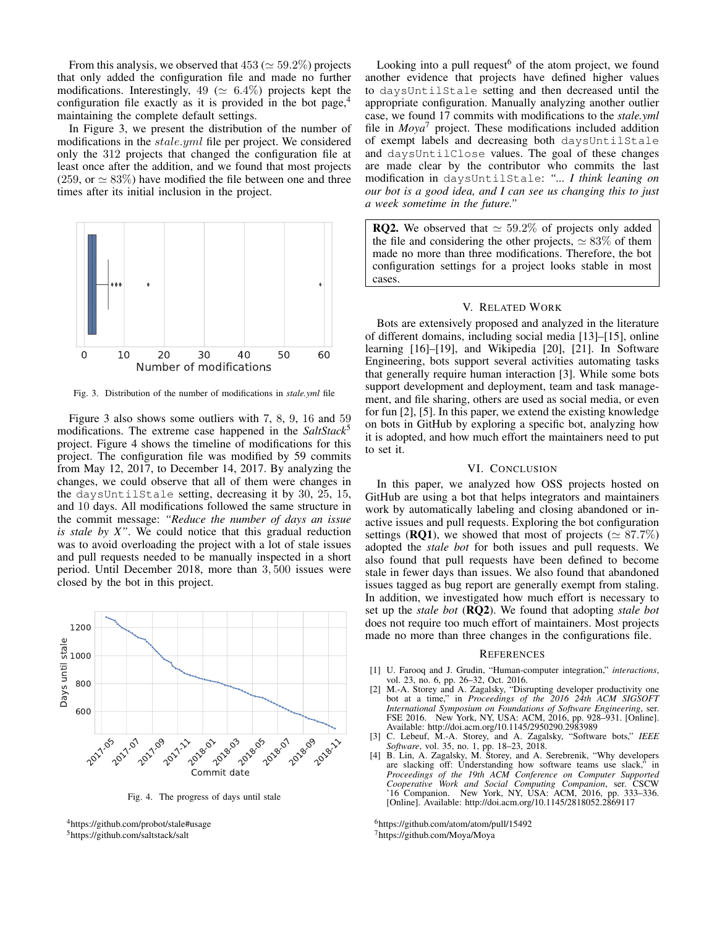From this analysis, we observed that  $453 \approx 59.2\%$ ) projects that only added the configuration file and made no further modifications. Interestingly, 49 ( $\simeq$  6.4%) projects kept the configuration file exactly as it is provided in the bot page,<sup>4</sup> maintaining the complete default settings.

In Figure 3, we present the distribution of the number of modifications in the *stale.yml* file per project. We considered only the 312 projects that changed the configuration file at least once after the addition, and we found that most projects (259, or  $\simeq 83\%$ ) have modified the file between one and three times after its initial inclusion in the project.



Fig. 3. Distribution of the number of modifications in *stale.yml* file

Figure 3 also shows some outliers with 7, 8, 9, 16 and 59 modifications. The extreme case happened in the *SaltStack*<sup>5</sup> project. Figure 4 shows the timeline of modifications for this project. The configuration file was modified by 59 commits from May 12, 2017, to December 14, 2017. By analyzing the changes, we could observe that all of them were changes in the daysUntilStale setting, decreasing it by 30, 25, 15, and 10 days. All modifications followed the same structure in the commit message: *"Reduce the number of days an issue is stale by X"*. We could notice that this gradual reduction was to avoid overloading the project with a lot of stale issues and pull requests needed to be manually inspected in a short period. Until December 2018, more than 3, 500 issues were closed by the bot in this project.



Fig. 4. The progress of days until stale



<sup>5</sup>https://github.com/saltstack/salt

Looking into a pull request  $6$  of the atom project, we found another evidence that projects have defined higher values to daysUntilStale setting and then decreased until the appropriate configuration. Manually analyzing another outlier case, we found 17 commits with modifications to the *stale.yml* file in *Moya*<sup>7</sup> project. These modifications included addition of exempt labels and decreasing both daysUntilStale and daysUntilClose values. The goal of these changes are made clear by the contributor who commits the last modification in daysUntilStale: *"... I think leaning on our bot is a good idea, and I can see us changing this to just a week sometime in the future."*

**RQ2.** We observed that  $\simeq 59.2\%$  of projects only added the file and considering the other projects,  $\simeq 83\%$  of them made no more than three modifications. Therefore, the bot configuration settings for a project looks stable in most cases.

#### V. RELATED WORK

Bots are extensively proposed and analyzed in the literature of different domains, including social media [13]–[15], online learning [16]–[19], and Wikipedia [20], [21]. In Software Engineering, bots support several activities automating tasks that generally require human interaction [3]. While some bots support development and deployment, team and task management, and file sharing, others are used as social media, or even for fun [2], [5]. In this paper, we extend the existing knowledge on bots in GitHub by exploring a specific bot, analyzing how it is adopted, and how much effort the maintainers need to put to set it.

## VI. CONCLUSION

In this paper, we analyzed how OSS projects hosted on GitHub are using a bot that helps integrators and maintainers work by automatically labeling and closing abandoned or inactive issues and pull requests. Exploring the bot configuration settings (**RQ1**), we showed that most of projects ( $\simeq 87.7\%$ ) adopted the *stale bot* for both issues and pull requests. We also found that pull requests have been defined to become stale in fewer days than issues. We also found that abandoned issues tagged as bug report are generally exempt from staling. In addition, we investigated how much effort is necessary to set up the *stale bot* (RQ2). We found that adopting *stale bot* does not require too much effort of maintainers. Most projects made no more than three changes in the configurations file.

#### **REFERENCES**

- [1] U. Farooq and J. Grudin, "Human-computer integration," *interactions*, vol. 23, no. 6, pp. 26–32, Oct. 2016.
- [2] M.-A. Storey and A. Zagalsky, "Disrupting developer productivity one bot at a time," in *Proceedings of the 2016 24th ACM SIGSOFT International Symposium on Foundations of Software Engineering*, ser. FSE 2016. New York, NY, USA: ACM, 2016, pp. 928–931. [Online]. Available: http://doi.acm.org/10.1145/2950290.2983989
- [3] C. Lebeuf, M.-A. Storey, and A. Zagalsky, "Software bots," *IEEE Software*, vol. 35, no. 1, pp. 18–23, 2018.
- [4] B. Lin, A. Zagalsky, M. Storey, and A. Serebrenik, "Why developers are slacking off: Understanding how software teams use slack," in *Proceedings of the 19th ACM Conference on Computer Supported Cooperative Work and Social Computing Companion*, ser. CSCW '16 Companion. New York, NY, USA: ACM, 2016, pp. 333–336. [Online]. Available: http://doi.acm.org/10.1145/2818052.2869117

<sup>6</sup>https://github.com/atom/atom/pull/15492 <sup>7</sup>https://github.com/Moya/Moya